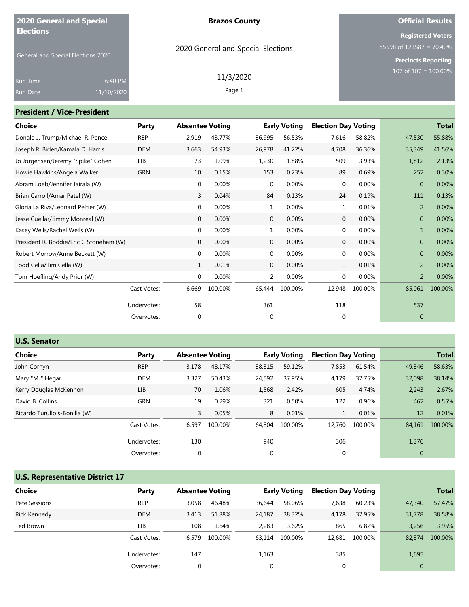| <b>2020 General and Special</b>                        |                       | <b>Brazos County</b>               | <b>Official Results</b>                                                            |
|--------------------------------------------------------|-----------------------|------------------------------------|------------------------------------------------------------------------------------|
| <b>Elections</b><br>General and Special Elections 2020 |                       | 2020 General and Special Elections | <b>Registered Voters</b><br>85598 of 121587 = 70.40%<br><b>Precincts Reporting</b> |
| <b>Run Time</b><br>Run Date                            | 6:40 PM<br>11/10/2020 | 11/3/2020<br>Page 1                | 107 of $107 = 100.00\%$                                                            |
| <b>President / Vice-President</b>                      |                       |                                    |                                                                                    |
|                                                        |                       | _ _ _ _ _                          |                                                                                    |

| <b>Party</b> |              |         |                |                        |                     |         | <b>Total</b>               |         |
|--------------|--------------|---------|----------------|------------------------|---------------------|---------|----------------------------|---------|
| REP          | 2,919        | 43.77%  | 36,995         | 56.53%                 | 7,616               | 58.82%  | 47,530                     | 55.88%  |
| <b>DEM</b>   | 3,663        | 54.93%  | 26,978         | 41.22%                 | 4,708               | 36.36%  | 35,349                     | 41.56%  |
| LІВ          | 73           | 1.09%   | 1,230          | 1.88%                  | 509                 | 3.93%   | 1,812                      | 2.13%   |
| <b>GRN</b>   | 10           | 0.15%   | 153            | 0.23%                  | 89                  | 0.69%   | 252                        | 0.30%   |
|              | 0            | 0.00%   | $\mathbf{0}$   | 0.00%                  | $\mathbf 0$         | 0.00%   | $\overline{0}$             | 0.00%   |
|              | 3            | 0.04%   | 84             | 0.13%                  | 24                  | 0.19%   | 111                        | 0.13%   |
|              | 0            | 0.00%   | $\mathbf{1}$   | 0.00%                  | $\mathbf{1}$        | 0.01%   | 2                          | 0.00%   |
|              | 0            | 0.00%   | $\mathbf 0$    | 0.00%                  | $\mathbf 0$         | 0.00%   | $\Omega$                   | 0.00%   |
|              | 0            | 0.00%   | 1              | 0.00%                  | $\mathbf 0$         | 0.00%   | 1                          | 0.00%   |
|              | $\mathbf{0}$ | 0.00%   | $\overline{0}$ | 0.00%                  | $\mathbf{0}$        | 0.00%   | $\overline{0}$             | 0.00%   |
|              | 0            | 0.00%   | 0              | 0.00%                  | 0                   | 0.00%   | $\Omega$                   | 0.00%   |
|              | $\mathbf{1}$ | 0.01%   | $\mathbf{0}$   | 0.00%                  | $\mathbf{1}$        | 0.01%   | 2                          | 0.00%   |
|              | $\mathbf{0}$ | 0.00%   | 2              | 0.00%                  | $\mathbf 0$         | 0.00%   | $\overline{2}$             | 0.00%   |
| Cast Votes:  | 6,669        | 100.00% | 65,444         | 100.00%                | 12,948              | 100.00% | 85,061                     | 100.00% |
| Undervotes:  | 58           |         | 361            |                        | 118                 |         | 537                        |         |
| Overvotes:   | 0            |         | 0              |                        | $\mathbf 0$         |         | $\mathbf{0}$               |         |
|              |              |         |                | <b>Absentee Voting</b> | <b>Early Voting</b> |         | <b>Election Day Voting</b> |         |

|  | <b>U.S. Senator</b> |
|--|---------------------|
|--|---------------------|

| Choice                        | Party       | <b>Absentee Voting</b> |         |        | <b>Early Voting</b> | <b>Election Day Voting</b> |         |        | <b>Total</b> |
|-------------------------------|-------------|------------------------|---------|--------|---------------------|----------------------------|---------|--------|--------------|
| John Cornyn                   | <b>REP</b>  | 3,178                  | 48.17%  | 38,315 | 59.12%              | 7,853                      | 61.54%  | 49,346 | 58.63%       |
| Mary "MJ" Hegar               | DEM         | 3,327                  | 50.43%  | 24,592 | 37.95%              | 4,179                      | 32.75%  | 32,098 | 38.14%       |
| Kerry Douglas McKennon        | LІВ         | 70                     | 1.06%   | 1,568  | 2.42%               | 605                        | 4.74%   | 2,243  | 2.67%        |
| David B. Collins              | <b>GRN</b>  | 19                     | 0.29%   | 321    | 0.50%               | 122                        | 0.96%   | 462    | 0.55%        |
| Ricardo Turullols-Bonilla (W) |             | 3                      | 0.05%   | 8      | 0.01%               |                            | 0.01%   | 12     | 0.01%        |
|                               | Cast Votes: | 6,597                  | 100.00% | 64.804 | 100.00%             | 12,760                     | 100.00% | 84,161 | 100.00%      |
|                               | Undervotes: | 130                    |         | 940    |                     | 306                        |         | 1,376  |              |
|                               | Overvotes:  | $\mathbf 0$            |         | 0      |                     | 0                          |         | 0      |              |

## **U.S. Representative District 17**

| <b>Choice</b>       | Party       |       | <b>Absentee Voting</b> |             | <b>Early Voting</b> | <b>Election Day Voting</b> |         |              | <b>Total</b> |
|---------------------|-------------|-------|------------------------|-------------|---------------------|----------------------------|---------|--------------|--------------|
| Pete Sessions       | <b>REP</b>  | 3,058 | 46.48%                 | 36,644      | 58.06%              | 7,638                      | 60.23%  | 47,340       | 57.47%       |
| <b>Rick Kennedy</b> | <b>DEM</b>  | 3.413 | 51.88%                 | 24.187      | 38.32%              | 4,178                      | 32.95%  | 31,778       | 38.58%       |
| Ted Brown           | LIB         | 108   | 1.64%                  | 2,283       | 3.62%               | 865                        | 6.82%   | 3,256        | 3.95%        |
|                     | Cast Votes: | 6.579 | 100.00%                | 63.114      | 100.00%             | 12.681                     | 100.00% | 82,374       | 100.00%      |
|                     | Undervotes: | 147   |                        | 1,163       |                     | 385                        |         | 1,695        |              |
|                     | Overvotes:  | 0     |                        | $\mathbf 0$ |                     | 0                          |         | $\mathbf{0}$ |              |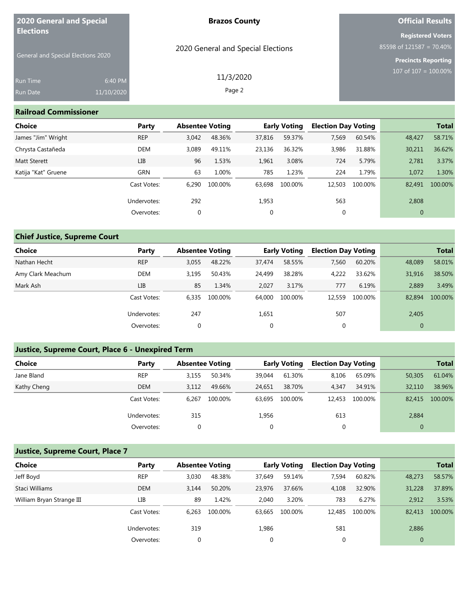| <b>2020 General and Special</b><br><b>Elections</b> |            | <b>Brazos County</b>               | <b>Official Results</b>                              |  |  |  |
|-----------------------------------------------------|------------|------------------------------------|------------------------------------------------------|--|--|--|
|                                                     |            | 2020 General and Special Elections | <b>Registered Voters</b><br>85598 of 121587 = 70.40% |  |  |  |
| <b>General and Special Elections 2020</b>           |            |                                    | <b>Precincts Reporting</b>                           |  |  |  |
| <b>Run Time</b>                                     | 6:40 PM    | 11/3/2020                          | 107 of $107 = 100.00\%$                              |  |  |  |
| Run Date                                            | 11/10/2020 | Page 2                             |                                                      |  |  |  |

#### **Railroad Commissioner**

| Choice              | Party       |             | <b>Absentee Voting</b> |             | <b>Early Voting</b> |        | <b>Election Day Voting</b> |              | <b>Total</b> |
|---------------------|-------------|-------------|------------------------|-------------|---------------------|--------|----------------------------|--------------|--------------|
| James "Jim" Wright  | <b>REP</b>  | 3,042       | 48.36%                 | 37,816      | 59.37%              | 7,569  | 60.54%                     | 48,427       | 58.71%       |
| Chrysta Castañeda   | DEM         | 3.089       | 49.11%                 | 23,136      | 36.32%              | 3,986  | 31.88%                     | 30,211       | 36.62%       |
| <b>Matt Sterett</b> | LIB         | 96          | 1.53%                  | 1,961       | 3.08%               | 724    | 5.79%                      | 2,781        | 3.37%        |
| Katija "Kat" Gruene | <b>GRN</b>  | 63          | 1.00%                  | 785         | 1.23%               | 224    | 1.79%                      | 1,072        | 1.30%        |
|                     | Cast Votes: | 6.290       | 100.00%                | 63,698      | 100.00%             | 12,503 | 100.00%                    | 82,491       | 100.00%      |
|                     | Undervotes: | 292         |                        | 1,953       |                     | 563    |                            | 2,808        |              |
|                     | Overvotes:  | $\mathbf 0$ |                        | $\mathbf 0$ |                     | 0      |                            | $\mathbf{0}$ |              |

## **Chief Justice, Supreme Court**

| <b>Choice</b>     | Party       | <b>Absentee Voting</b> |         |             | <b>Early Voting</b> |        | <b>Election Day Voting</b> |              | <b>Total</b> |
|-------------------|-------------|------------------------|---------|-------------|---------------------|--------|----------------------------|--------------|--------------|
| Nathan Hecht      | <b>REP</b>  | 3,055                  | 48.22%  | 37,474      | 58.55%              | 7,560  | 60.20%                     | 48,089       | 58.01%       |
| Amy Clark Meachum | <b>DEM</b>  | 3.195                  | 50.43%  | 24,499      | 38.28%              | 4,222  | 33.62%                     | 31,916       | 38.50%       |
| Mark Ash          | LIB         | 85                     | 1.34%   | 2.027       | 3.17%               | 777    | 6.19%                      | 2.889        | 3.49%        |
|                   | Cast Votes: | 6.335                  | 100.00% | 64.000      | 100.00%             | 12,559 | 100.00%                    | 82,894       | 100.00%      |
|                   | Undervotes: | 247                    |         | 1,651       |                     | 507    |                            | 2,405        |              |
|                   | Overvotes:  | 0                      |         | $\mathbf 0$ |                     | 0      |                            | $\mathbf{0}$ |              |

### **Justice, Supreme Court, Place 6 - Unexpired Term**

| <b>Choice</b> | Party       | <b>Absentee Voting</b> |         |        | <b>Early Voting</b> |        | <b>Election Day Voting</b> |              | <b>Total</b> |
|---------------|-------------|------------------------|---------|--------|---------------------|--------|----------------------------|--------------|--------------|
| Jane Bland    | <b>REP</b>  | 3,155                  | 50.34%  | 39.044 | 61.30%              | 8,106  | 65.09%                     | 50,305       | 61.04%       |
| Kathy Cheng   | <b>DEM</b>  | 3.112                  | 49.66%  | 24.651 | 38.70%              | 4,347  | 34.91%                     | 32,110       | 38.96%       |
|               | Cast Votes: | 6.267                  | 100.00% | 63.695 | 100.00%             | 12,453 | 100.00%                    | 82,415       | 100.00%      |
|               | Undervotes: | 315                    |         | 1,956  |                     | 613    |                            | 2,884        |              |
|               | Overvotes:  | 0                      |         | 0      |                     | 0      |                            | $\mathbf{0}$ |              |

### **Justice, Supreme Court, Place 7**

| Choice                    | Party       |       | <b>Absentee Voting</b> |        | <b>Early Voting</b> |        | <b>Election Day Voting</b> |              | <b>Total</b> |
|---------------------------|-------------|-------|------------------------|--------|---------------------|--------|----------------------------|--------------|--------------|
| Jeff Boyd                 | <b>REP</b>  | 3,030 | 48.38%                 | 37.649 | 59.14%              | 7,594  | 60.82%                     | 48,273       | 58.57%       |
| Staci Williams            | <b>DEM</b>  | 3.144 | 50.20%                 | 23,976 | 37.66%              | 4,108  | 32.90%                     | 31,228       | 37.89%       |
| William Bryan Strange III | LІВ         | 89    | 1.42%                  | 2.040  | 3.20%               | 783    | 6.27%                      | 2,912        | 3.53%        |
|                           | Cast Votes: | 6.263 | 100.00%                | 63.665 | 100.00%             | 12,485 | 100.00%                    | 82,413       | 100.00%      |
|                           | Undervotes: | 319   |                        | 1,986  |                     | 581    |                            | 2,886        |              |
|                           | Overvotes:  | 0     |                        |        |                     | 0      |                            | $\mathbf{0}$ |              |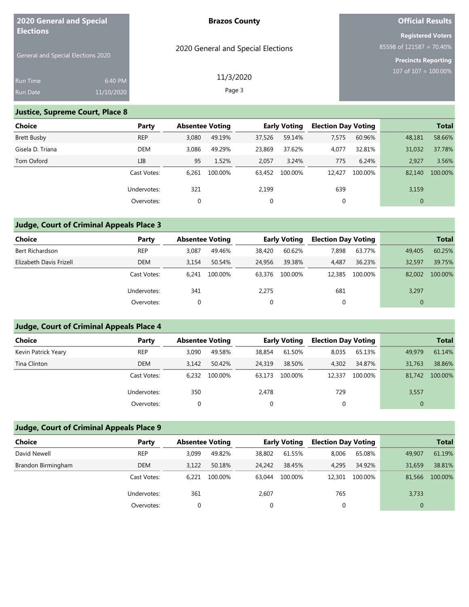| <b>2020 General and Special</b><br><b>Elections</b> |            | <b>Brazos County</b>               | <b>Official Results</b>                                 |  |  |
|-----------------------------------------------------|------------|------------------------------------|---------------------------------------------------------|--|--|
|                                                     |            | 2020 General and Special Elections | <b>Registered Voters</b><br>$85598$ of 121587 = 70.40%  |  |  |
| <b>General and Special Elections 2020</b>           |            |                                    | <b>Precincts Reporting</b><br>$107$ of $107 = 100.00\%$ |  |  |
| <b>Run Time</b>                                     | 6:40 PM    | 11/3/2020                          |                                                         |  |  |
| <b>Run Date</b>                                     | 11/10/2020 | Page 3                             |                                                         |  |  |

### **Justice, Supreme Court, Place 8**

| <b>Choice</b>      | Party       |       | <b>Absentee Voting</b> |        | <b>Early Voting</b> |        | <b>Election Day Voting</b> |              | <b>Total</b> |
|--------------------|-------------|-------|------------------------|--------|---------------------|--------|----------------------------|--------------|--------------|
| <b>Brett Busby</b> | <b>REP</b>  | 3,080 | 49.19%                 | 37,526 | 59.14%              | 7,575  | 60.96%                     | 48,181       | 58.66%       |
| Gisela D. Triana   | <b>DEM</b>  | 3.086 | 49.29%                 | 23,869 | 37.62%              | 4,077  | 32.81%                     | 31,032       | 37.78%       |
| Tom Oxford         | LIB         | 95    | 1.52%                  | 2,057  | 3.24%               | 775    | 6.24%                      | 2,927        | 3.56%        |
|                    | Cast Votes: | 6.261 | 100.00%                | 63.452 | 100.00%             | 12.427 | 100.00%                    | 82,140       | 100.00%      |
|                    | Undervotes: | 321   |                        | 2,199  |                     | 639    |                            | 3,159        |              |
|                    | Overvotes:  | 0     |                        | 0      |                     | 0      |                            | $\mathbf{0}$ |              |

### **Judge, Court of Criminal Appeals Place 3**

| Choice                  | Party       | <b>Absentee Voting</b> |         |        | <b>Early Voting</b> | <b>Election Day Voting</b> |         |              | <b>Total</b> |
|-------------------------|-------------|------------------------|---------|--------|---------------------|----------------------------|---------|--------------|--------------|
| Bert Richardson         | <b>REP</b>  | 3.087                  | 49.46%  | 38,420 | 60.62%              | 7.898                      | 63.77%  | 49,405       | 60.25%       |
| Elizabeth Davis Frizell | <b>DEM</b>  | 3.154                  | 50.54%  | 24,956 | 39.38%              | 4.487                      | 36.23%  | 32,597       | 39.75%       |
|                         | Cast Votes: | 6.241                  | 100.00% | 63,376 | 100.00%             | 12,385                     | 100.00% | 82,002       | 100.00%      |
|                         | Undervotes: | 341                    |         | 2,275  |                     | 681                        |         | 3,297        |              |
|                         | Overvotes:  | 0                      |         |        |                     | 0                          |         | $\mathbf{0}$ |              |

## **Judge, Court of Criminal Appeals Place 4**

| Choice              | Party       | <b>Absentee Voting</b> |         |        | <b>Early Voting</b> | <b>Election Day Voting</b> |         |        | <b>Total</b> |
|---------------------|-------------|------------------------|---------|--------|---------------------|----------------------------|---------|--------|--------------|
| Kevin Patrick Yeary | <b>REP</b>  | 3,090                  | 49.58%  | 38,854 | 61.50%              | 8,035                      | 65.13%  | 49,979 | 61.14%       |
| Tina Clinton        | <b>DEM</b>  | 3.142                  | 50.42%  | 24,319 | 38.50%              | 4.302                      | 34.87%  | 31,763 | 38.86%       |
|                     | Cast Votes: | 6.232                  | 100.00% | 63.173 | 100.00%             | 12,337                     | 100.00% | 81.742 | 100.00%      |
|                     | Undervotes: | 350                    |         | 2,478  |                     | 729                        |         | 3,557  |              |
|                     | Overvotes:  |                        |         | 0      |                     |                            |         |        |              |

### **Judge, Court of Criminal Appeals Place 9**

| Choice             | Party       | <b>Absentee Voting</b> |         |        | <b>Early Voting</b> | <b>Election Day Voting</b> |         |        | <b>Total</b> |
|--------------------|-------------|------------------------|---------|--------|---------------------|----------------------------|---------|--------|--------------|
| David Newell       | <b>REP</b>  | 3.099                  | 49.82%  | 38,802 | 61.55%              | 8.006                      | 65.08%  | 49,907 | 61.19%       |
| Brandon Birmingham | <b>DEM</b>  | 3.122                  | 50.18%  | 24,242 | 38.45%              | 4.295                      | 34.92%  | 31,659 | 38.81%       |
|                    | Cast Votes: | 6.221                  | 100.00% | 63.044 | 100.00%             | 12,301                     | 100.00% | 81,566 | 100.00%      |
|                    | Undervotes: | 361                    |         | 2,607  |                     | 765                        |         | 3,733  |              |
|                    | Overvotes:  |                        |         | 0      |                     |                            |         | 0      |              |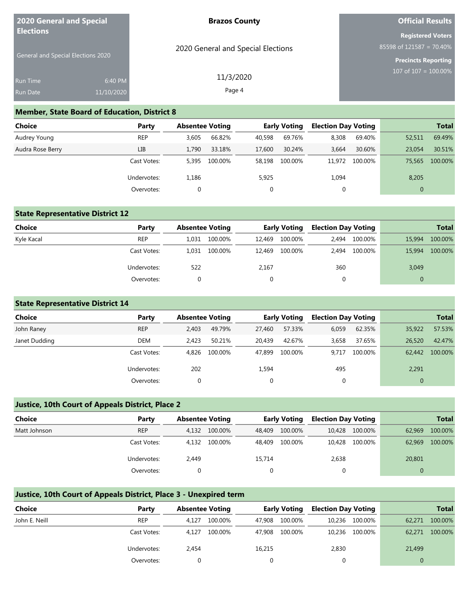| 2020 General and Special                               |            | <b>Brazos County</b>               | <b>Official Results</b>                                 |
|--------------------------------------------------------|------------|------------------------------------|---------------------------------------------------------|
| <b>Elections</b><br>General and Special Elections 2020 |            | 2020 General and Special Elections | <b>Registered Voters</b><br>85598 of $121587 = 70.40\%$ |
|                                                        |            |                                    | <b>Precincts Reporting</b><br>107 of $107 = 100.00\%$   |
| <b>Run Time</b>                                        | 6:40 PM    | 11/3/2020                          |                                                         |
| <b>Run Date</b>                                        | 11/10/2020 | Page 4                             |                                                         |

#### **Member, State Board of Education, District 8**

| Choice           | Party       | <b>Absentee Voting</b> |         |        | <b>Early Voting</b> | <b>Election Day Voting</b> |         |              | <b>Total</b> |
|------------------|-------------|------------------------|---------|--------|---------------------|----------------------------|---------|--------------|--------------|
| Audrey Young     | <b>REP</b>  | 3.605                  | 66.82%  | 40,598 | 69.76%              | 8,308                      | 69.40%  | 52,511       | 69.49%       |
| Audra Rose Berry | LIB         | 1.790                  | 33.18%  | 17,600 | 30.24%              | 3,664                      | 30.60%  | 23.054       | 30.51%       |
|                  | Cast Votes: | 5.395                  | 100.00% | 58,198 | 100.00%             | 11,972                     | 100.00% | 75,565       | 100.00%      |
|                  | Undervotes: | 1,186                  |         | 5,925  |                     | 1,094                      |         | 8,205        |              |
|                  | Overvotes:  | 0                      |         |        |                     | 0                          |         | $\mathbf{0}$ |              |

#### **State Representative District 12**

| <b>Choice</b> | Party       | <b>Absentee Voting</b> |         |        | <b>Early Voting</b> | <b>Election Day Voting</b> |         |          | <b>Total</b> |
|---------------|-------------|------------------------|---------|--------|---------------------|----------------------------|---------|----------|--------------|
| Kyle Kacal    | <b>REP</b>  | 1.031                  | 100.00% | 12.469 | 100.00%             | 2.494                      | 100.00% | 15,994   | 100.00%      |
|               | Cast Votes: | 1.031                  | 100.00% | 12.469 | 100.00%             | 2.494                      | 100.00% | 15,994   | 100.00%      |
|               | Undervotes: | 522                    |         | 2,167  |                     | 360                        |         | 3,049    |              |
|               | Overvotes:  |                        |         |        |                     |                            |         | $\Omega$ |              |

#### **State Representative District 14**

| <b>Choice</b> | Party       | <b>Absentee Voting</b> |         |        | <b>Early Voting</b> | <b>Election Day Voting</b> |         |        | <b>Total</b> |
|---------------|-------------|------------------------|---------|--------|---------------------|----------------------------|---------|--------|--------------|
| John Raney    | <b>REP</b>  | 2.403                  | 49.79%  | 27,460 | 57.33%              | 6,059                      | 62.35%  | 35,922 | 57.53%       |
| Janet Dudding | DEM         | 2.423                  | 50.21%  | 20.439 | 42.67%              | 3.658                      | 37.65%  | 26,520 | 42.47%       |
|               | Cast Votes: | 4.826                  | 100.00% | 47.899 | 100.00%             | 9.717                      | 100.00% | 62.442 | 100.00%      |
|               | Undervotes: | 202                    |         | 1,594  |                     | 495                        |         | 2,291  |              |
|               | Overvotes:  |                        |         | 0      |                     |                            |         |        |              |

#### **Justice, 10th Court of Appeals District, Place 2**

| <b>Choice</b> | Party       | <b>Absentee Voting</b> |         |        | <b>Early Voting</b> | <b>Election Day Voting</b> |                |        | <b>Total</b> |
|---------------|-------------|------------------------|---------|--------|---------------------|----------------------------|----------------|--------|--------------|
| Matt Johnson  | <b>REP</b>  | 4.132                  | 100.00% | 48.409 | 100.00%             |                            | 10,428 100.00% | 62,969 | 100.00%      |
|               | Cast Votes: | 4.132                  | 100.00% | 48.409 | 100.00%             | 10.428                     | 100.00%        | 62,969 | 100.00%      |
|               | Undervotes: | 2,449                  |         | 15,714 |                     | 2,638                      |                | 20,801 |              |
|               | Overvotes:  |                        |         |        |                     |                            |                |        |              |

#### **Justice, 10th Court of Appeals District, Place 3 - Unexpired term**

| Choice        | Party       | <b>Absentee Voting</b> |         |        | <b>Early Voting</b> | <b>Election Day Voting</b> |                |        | <b>Total</b> |
|---------------|-------------|------------------------|---------|--------|---------------------|----------------------------|----------------|--------|--------------|
| John E. Neill | <b>REP</b>  | 4.127                  | 100.00% | 47.908 | 100.00%             |                            | 10,236 100.00% | 62,271 | 100.00%      |
|               | Cast Votes: | 4.127                  | 100.00% | 47.908 | 100.00%             |                            | 10,236 100.00% | 62,271 | 100.00%      |
|               | Undervotes: | 2.454                  |         | 16,215 |                     | 2,830                      |                | 21,499 |              |
|               | Overvotes:  |                        |         |        |                     |                            |                |        |              |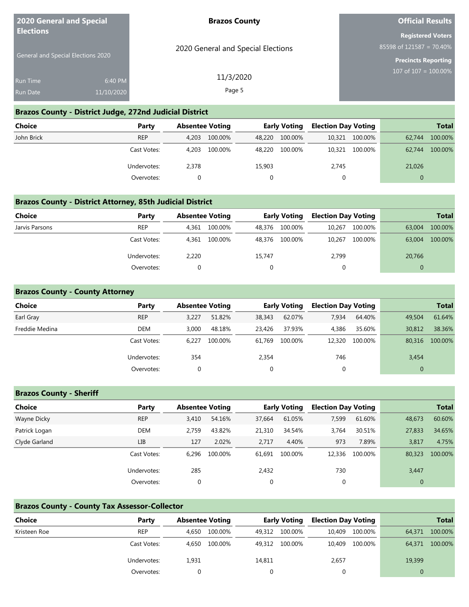| <b>2020 General and Special</b><br><b>Elections</b> |                       | <b>Brazos County</b>               | <b>Official Results</b>                                                            |
|-----------------------------------------------------|-----------------------|------------------------------------|------------------------------------------------------------------------------------|
| General and Special Elections 2020                  |                       | 2020 General and Special Elections | <b>Registered Voters</b><br>85598 of 121587 = 70.40%<br><b>Precincts Reporting</b> |
| <b>Run Time</b><br>Run Date                         | 6:40 PM<br>11/10/2020 | 11/3/2020<br>Page 5                | 107 of $107 = 100.00\%$                                                            |
|                                                     |                       | ______________________             |                                                                                    |

#### **Brazos County - District Judge, 272nd Judicial District**

| <b>Choice</b> | Party       | <b>Absentee Voting</b> |         |        | <b>Early Voting</b> | <b>Election Day Voting</b> |                |          | <b>Total</b> |
|---------------|-------------|------------------------|---------|--------|---------------------|----------------------------|----------------|----------|--------------|
| John Brick    | <b>REP</b>  | 4.203                  | 100.00% | 48.220 | 100.00%             |                            | 10,321 100.00% | 62.744   | 100.00%      |
|               | Cast Votes: | 4.203                  | 100.00% | 48.220 | 100.00%             |                            | 10,321 100.00% | 62.744   | 100.00%      |
|               | Undervotes: | 2,378                  |         | 15,903 |                     | 2,745                      |                | 21,026   |              |
|               | Overvotes:  |                        |         |        |                     | 0                          |                | $\Omega$ |              |

#### **Brazos County - District Attorney, 85th Judicial District**

| Choice         | Party       |       | <b>Absentee Voting</b> |        | <b>Early Voting</b> | <b>Election Day Voting</b> |         |        | <b>Total</b> |
|----------------|-------------|-------|------------------------|--------|---------------------|----------------------------|---------|--------|--------------|
| Jarvis Parsons | <b>REP</b>  | 4.361 | 100.00%                | 48.376 | 100.00%             | 10,267                     | 100.00% | 63,004 | 100.00%      |
|                | Cast Votes: | 4.361 | 100.00%                | 48.376 | 100.00%             | 10.267                     | 100.00% | 63,004 | 100.00%      |
|                | Undervotes: | 2,220 |                        | 15,747 |                     | 2,799                      |         | 20,766 |              |
|                | Overvotes:  |       |                        |        |                     |                            |         |        |              |

#### **Brazos County - County Attorney**

| <b>Choice</b>  | Party       | <b>Absentee Voting</b> |         |        | <b>Early Voting</b> | <b>Election Day Voting</b> |         |              | <b>Total</b> |
|----------------|-------------|------------------------|---------|--------|---------------------|----------------------------|---------|--------------|--------------|
| Earl Gray      | <b>REP</b>  | 3.227                  | 51.82%  | 38,343 | 62.07%              | 7,934                      | 64.40%  | 49,504       | 61.64%       |
| Freddie Medina | DEM         | 3.000                  | 48.18%  | 23.426 | 37.93%              | 4,386                      | 35.60%  | 30,812       | 38.36%       |
|                | Cast Votes: | 6.227                  | 100.00% | 61.769 | 100.00%             | 12,320                     | 100.00% | 80,316       | 100.00%      |
|                | Undervotes: | 354                    |         | 2,354  |                     | 746                        |         | 3,454        |              |
|                | Overvotes:  |                        |         |        |                     |                            |         | $\mathbf{0}$ |              |

### **Brazos County - Sheriff**

| <b>Choice</b> | Party       | <b>Absentee Voting</b> |         |             | <b>Early Voting</b> | <b>Election Day Voting</b> |         |          | <b>Total</b> |
|---------------|-------------|------------------------|---------|-------------|---------------------|----------------------------|---------|----------|--------------|
| Wayne Dicky   | <b>REP</b>  | 3,410                  | 54.16%  | 37.664      | 61.05%              | 7,599                      | 61.60%  | 48,673   | 60.60%       |
| Patrick Logan | DEM         | 2.759                  | 43.82%  | 21,310      | 34.54%              | 3,764                      | 30.51%  | 27,833   | 34.65%       |
| Clyde Garland | LIB         | 127                    | 2.02%   | 2.717       | 4.40%               | 973                        | 7.89%   | 3,817    | 4.75%        |
|               | Cast Votes: | 6.296                  | 100.00% | 61.691      | 100.00%             | 12,336                     | 100.00% | 80,323   | 100.00%      |
|               | Undervotes: | 285                    |         | 2,432       |                     | 730                        |         | 3,447    |              |
|               | Overvotes:  | 0                      |         | $\mathbf 0$ |                     | 0                          |         | $\theta$ |              |

#### **Brazos County - County Tax Assessor-Collector**

| <b>Choice</b> | Party       | <b>Absentee Voting</b> |         |        | <b>Early Voting</b> | <b>Election Day Voting</b> |         |        | <b>Total</b> |
|---------------|-------------|------------------------|---------|--------|---------------------|----------------------------|---------|--------|--------------|
| Kristeen Roe  | <b>REP</b>  | 4.650                  | 100.00% | 49.312 | 100.00%             | 10,409                     | 100.00% | 64,371 | 100.00%      |
|               | Cast Votes: | 4.650                  | 100.00% | 49,312 | 100.00%             | 10,409                     | 100.00% | 64,371 | 100.00%      |
|               | Undervotes: | 1,931                  |         | 14,811 |                     | 2,657                      |         | 19,399 |              |
|               | Overvotes:  |                        |         |        |                     |                            |         | 0      |              |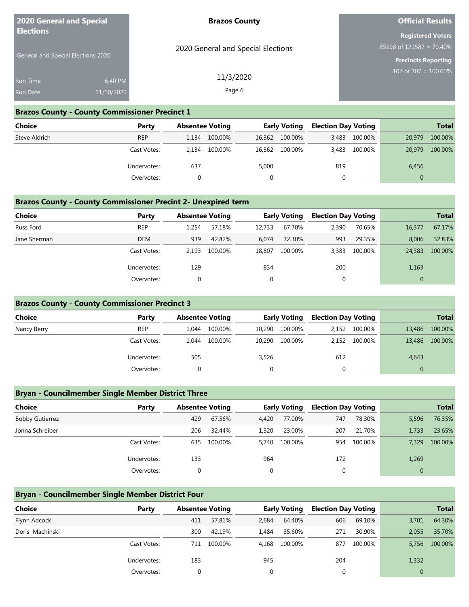| <b>2020 General and Special</b><br><b>Elections</b> |                       | <b>Brazos County</b>               | <b>Official Results</b>                                                            |
|-----------------------------------------------------|-----------------------|------------------------------------|------------------------------------------------------------------------------------|
| General and Special Elections 2020                  |                       | 2020 General and Special Elections | <b>Registered Voters</b><br>85598 of 121587 = 70.40%<br><b>Precincts Reporting</b> |
| <b>Run Time</b><br>Run Date                         | 6:40 PM<br>11/10/2020 | 11/3/2020<br>Page 6                | $107 \overline{\text{ of } 107} = 100.00\%$                                        |
|                                                     |                       |                                    |                                                                                    |

#### **Brazos County - County Commissioner Precinct 1**

| Choice        | Party       |       | <b>Absentee Voting</b> |       | <b>Early Voting</b> | <b>Election Day Voting</b> |         |          | <b>Total</b> |
|---------------|-------------|-------|------------------------|-------|---------------------|----------------------------|---------|----------|--------------|
| Steve Aldrich | <b>REP</b>  | 1.134 | 100.00%                |       | 16,362 100.00%      | 3,483                      | 100.00% | 20,979   | 100.00%      |
|               | Cast Votes: | 1.134 | 100.00%                |       | 16,362 100.00%      | 3,483                      | 100.00% | 20,979   | 100.00%      |
|               | Undervotes: | 637   |                        | 5,000 |                     | 819                        |         | 6,456    |              |
|               | Overvotes:  |       |                        |       |                     | 0                          |         | $\Omega$ |              |

### **Brazos County - County Commissioner Precint 2- Unexpired term**

| <b>Choice</b> | Party       | <b>Absentee Voting</b> |         |        | <b>Early Voting</b> | <b>Election Day Voting</b> |         |              | <b>Total</b> |
|---------------|-------------|------------------------|---------|--------|---------------------|----------------------------|---------|--------------|--------------|
| Russ Ford     | <b>REP</b>  | 1.254                  | 57.18%  | 12.733 | 67.70%              | 2,390                      | 70.65%  | 16,377       | 67.17%       |
| Jane Sherman  | <b>DEM</b>  | 939                    | 42.82%  | 6.074  | 32.30%              | 993                        | 29.35%  | 8.006        | 32.83%       |
|               | Cast Votes: | 2.193                  | 100.00% | 18,807 | 100.00%             | 3.383                      | 100.00% | 24,383       | 100.00%      |
|               | Undervotes: | 129                    |         | 834    |                     | 200                        |         | 1,163        |              |
|               | Overvotes:  | 0                      |         | 0      |                     | 0                          |         | $\mathbf{0}$ |              |

#### **Brazos County - County Commissioner Precinct 3**

| <b>Choice</b> | Party       | <b>Absentee Voting</b> |         |        | <b>Early Voting</b> | <b>Election Day Voting</b> |               |        | <b>Total</b> |
|---------------|-------------|------------------------|---------|--------|---------------------|----------------------------|---------------|--------|--------------|
| Nancy Berry   | <b>REP</b>  | 1.044                  | 100.00% | 10,290 | 100.00%             |                            | 2,152 100.00% | 13,486 | 100.00%      |
|               | Cast Votes: | 1.044                  | 100.00% | 10,290 | 100.00%             |                            | 2,152 100.00% | 13,486 | 100.00%      |
|               | Undervotes: | 505                    |         | 3,526  |                     | 612                        |               | 4,643  |              |
|               | Overvotes:  |                        |         |        |                     |                            |               |        |              |

#### **Bryan - Councilmember Single Member District Three**

| <b>Choice</b>          | Party       | <b>Absentee Voting</b> |         |       | <b>Early Voting</b> | <b>Election Day Voting</b> |         |              | <b>Total</b> |
|------------------------|-------------|------------------------|---------|-------|---------------------|----------------------------|---------|--------------|--------------|
| <b>Bobby Gutierrez</b> |             | 429                    | 67.56%  | 4,420 | 77.00%              | 747                        | 78.30%  | 5,596        | 76.35%       |
| Jonna Schreiber        |             | 206                    | 32.44%  | 1,320 | 23.00%              | 207                        | 21.70%  | 1,733        | 23.65%       |
|                        | Cast Votes: | 635                    | 100.00% | 5.740 | 100.00%             | 954                        | 100.00% | 7.329        | 100.00%      |
|                        | Undervotes: | 133                    |         | 964   |                     | 172                        |         | 1,269        |              |
|                        | Overvotes:  |                        |         | 0     |                     | $\mathbf 0$                |         | $\mathbf{0}$ |              |

#### **Bryan - Councilmember Single Member District Four**

| <b>Choice</b>   | Party       | <b>Absentee Voting</b> |         |          | <b>Early Voting</b> | <b>Election Day Voting</b> |         |              | <b>Total</b> |
|-----------------|-------------|------------------------|---------|----------|---------------------|----------------------------|---------|--------------|--------------|
| Flynn Adcock    |             | 411                    | 57.81%  | 2.684    | 64.40%              | 606                        | 69.10%  | 3,701        | 64.30%       |
| Doris Machinski |             | 300                    | 42.19%  | 1.484    | 35.60%              | 271                        | 30.90%  | 2.055        | 35.70%       |
|                 | Cast Votes: | 711                    | 100.00% | 4.168    | 100.00%             | 877                        | 100.00% | 5.756        | 100.00%      |
|                 | Undervotes: | 183                    |         | 945      |                     | 204                        |         | 1,332        |              |
|                 | Overvotes:  |                        |         | $\Omega$ |                     | 0                          |         | $\mathbf{0}$ |              |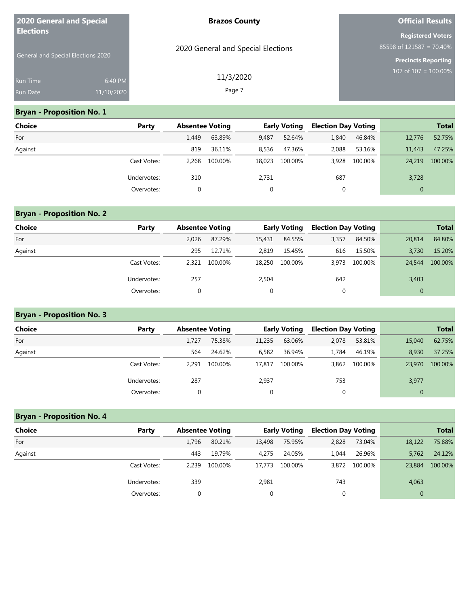| <b>2020 General and Special</b><br><b>Elections</b> |            | <b>Brazos County</b>               | <b>Official Results</b>     |  |  |
|-----------------------------------------------------|------------|------------------------------------|-----------------------------|--|--|
|                                                     |            |                                    | <b>Registered Voters</b>    |  |  |
|                                                     |            | 2020 General and Special Elections | 85598 of $121587 = 70.40\%$ |  |  |
| General and Special Elections 2020                  |            |                                    | <b>Precincts Reporting</b>  |  |  |
| Run Time                                            | 6:40 PM    | 11/3/2020                          | 107 of $107 = 100.00\%$     |  |  |
| <b>Run Date</b>                                     | 11/10/2020 | Page 7                             |                             |  |  |

#### **Bryan - Proposition No. 1**

| <b>Choice</b> | Party       | <b>Absentee Voting</b> |         |        | <b>Early Voting</b> | <b>Election Day Voting</b> |         |              | <b>Total</b> |
|---------------|-------------|------------------------|---------|--------|---------------------|----------------------------|---------|--------------|--------------|
| For           |             | 1.449                  | 63.89%  | 9,487  | 52.64%              | 1,840                      | 46.84%  | 12,776       | 52.75%       |
| Against       |             | 819                    | 36.11%  | 8,536  | 47.36%              | 2,088                      | 53.16%  | 11,443       | 47.25%       |
|               | Cast Votes: | 2,268                  | 100.00% | 18.023 | 100.00%             | 3.928                      | 100.00% | 24,219       | 100.00%      |
|               | Undervotes: | 310                    |         | 2,731  |                     | 687                        |         | 3,728        |              |
|               | Overvotes:  | $\Omega$               |         | 0      |                     | 0                          |         | $\mathbf{0}$ |              |

#### **Bryan - Proposition No. 2**

| <b>Choice</b> | Party       | <b>Absentee Voting</b> |         |        | <b>Early Voting</b> | <b>Election Day Voting</b> |         |              | <b>Total</b> |
|---------------|-------------|------------------------|---------|--------|---------------------|----------------------------|---------|--------------|--------------|
| For           |             | 2.026                  | 87.29%  | 15,431 | 84.55%              | 3,357                      | 84.50%  | 20,814       | 84.80%       |
| Against       |             | 295                    | 12.71%  | 2.819  | 15.45%              | 616                        | 15.50%  | 3.730        | 15.20%       |
|               | Cast Votes: | 2.321                  | 100.00% | 18,250 | 100.00%             | 3,973                      | 100.00% | 24,544       | 100.00%      |
|               | Undervotes: | 257                    |         | 2,504  |                     | 642                        |         | 3,403        |              |
|               | Overvotes:  |                        |         | 0      |                     | 0                          |         | $\mathbf{0}$ |              |

#### **Bryan - Proposition No. 3**

| <b>Choice</b> | Party       | <b>Absentee Voting</b> |         |              | <b>Early Voting</b> | <b>Election Day Voting</b> |         |              | <b>Total</b> |
|---------------|-------------|------------------------|---------|--------------|---------------------|----------------------------|---------|--------------|--------------|
| For           |             | 1.727                  | 75.38%  | 11,235       | 63.06%              | 2,078                      | 53.81%  | 15,040       | 62.75%       |
| Against       |             | 564                    | 24.62%  | 6,582        | 36.94%              | 1.784                      | 46.19%  | 8.930        | 37.25%       |
|               | Cast Votes: | 2.291                  | 100.00% | 17.817       | 100.00%             | 3,862                      | 100.00% | 23,970       | 100.00%      |
|               | Undervotes: | 287                    |         | 2,937        |                     | 753                        |         | 3,977        |              |
|               | Overvotes:  |                        |         | $\mathbf{0}$ |                     | 0                          |         | $\mathbf{0}$ |              |

# **Bryan - Proposition No. 4 Choice Party Absentee Voting Early Voting Election Day Voting Total** For 1,796 80.21% 13,498 75.95% 2,828 73.04% 18,122 75.88% Against 443 19.79% 4,275 24.05% 1,044 26.96% 5,762 24.12% Cast Votes: 2,239 100.00% 17,773 100.00% 3,872 100.00% 23,884 100.00% Undervotes: 339 2,981 743 4,063 Overvotes: 0 0 0 0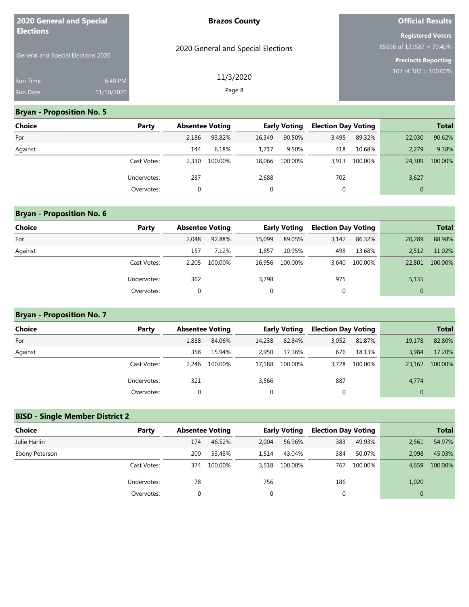| <b>2020 General and Special</b><br><b>Elections</b> |            | <b>Brazos County</b>               | <b>Official Results</b>                                 |
|-----------------------------------------------------|------------|------------------------------------|---------------------------------------------------------|
|                                                     |            |                                    | <b>Registered Voters</b><br>85598 of $121587 = 70.40\%$ |
| General and Special Elections 2020                  |            | 2020 General and Special Elections | <b>Precincts Reporting</b>                              |
| <b>Run Time</b>                                     | 6:40 PM    | 11/3/2020                          | 107 of $107 = 100.00\%$                                 |
| Run Date                                            | 11/10/2020 | Page 8                             |                                                         |

### **Bryan - Proposition No. 5**

| <b>Choice</b> | Party       | <b>Absentee Voting</b> |         |        | <b>Early Voting</b> | <b>Election Day Voting</b> |         |              | <b>Total</b> |
|---------------|-------------|------------------------|---------|--------|---------------------|----------------------------|---------|--------------|--------------|
| For           |             | 2.186                  | 93.82%  | 16,349 | 90.50%              | 3,495                      | 89.32%  | 22,030       | 90.62%       |
| Against       |             | 144                    | 6.18%   | 1.717  | 9.50%               | 418                        | 10.68%  | 2,279        | 9.38%        |
|               | Cast Votes: | 2.330                  | 100.00% | 18,066 | 100.00%             | 3.913                      | 100.00% | 24,309       | 100.00%      |
|               | Undervotes: | 237                    |         | 2,688  |                     | 702                        |         | 3,627        |              |
|               | Overvotes:  |                        |         | 0      |                     | 0                          |         | $\mathbf{0}$ |              |

# **Bryan - Proposition No. 6**

| <b>Choice</b> | Party       | <b>Absentee Voting</b> |         |        | <b>Early Voting</b> | <b>Election Day Voting</b> |         |              | <b>Total</b> |
|---------------|-------------|------------------------|---------|--------|---------------------|----------------------------|---------|--------------|--------------|
| For           |             | 2.048                  | 92.88%  | 15,099 | 89.05%              | 3,142                      | 86.32%  | 20,289       | 88.98%       |
| Against       |             | 157                    | 7.12%   | 1.857  | 10.95%              | 498                        | 13.68%  | 2,512        | 11.02%       |
|               | Cast Votes: | 2.205                  | 100.00% | 16,956 | 100.00%             | 3.640                      | 100.00% | 22,801       | 100.00%      |
|               | Undervotes: | 362                    |         | 3,798  |                     | 975                        |         | 5,135        |              |
|               | Overvotes:  |                        |         | 0      |                     | 0                          |         | $\mathbf{0}$ |              |

### **Bryan - Proposition No. 7**

| Choice  | Party       | <b>Absentee Voting</b> |         |        | <b>Early Voting</b> | <b>Election Day Voting</b> |         |              | <b>Total</b> |
|---------|-------------|------------------------|---------|--------|---------------------|----------------------------|---------|--------------|--------------|
| For     |             | 1,888                  | 84.06%  | 14,238 | 82.84%              | 3,052                      | 81.87%  | 19,178       | 82.80%       |
| Against |             | 358                    | 15.94%  | 2.950  | 17.16%              | 676                        | 18.13%  | 3.984        | 17.20%       |
|         | Cast Votes: | 2.246                  | 100.00% | 17.188 | 100.00%             | 3.728                      | 100.00% | 23,162       | 100.00%      |
|         | Undervotes: | 321                    |         | 3,566  |                     | 887                        |         | 4,774        |              |
|         | Overvotes:  |                        |         | 0      |                     | 0                          |         | $\mathbf{0}$ |              |

### **BISD - Single Member District 2**

| <b>Choice</b>  | Party       | <b>Absentee Voting</b> |         |          | <b>Early Voting</b> | <b>Election Day Voting</b> |         |              | <b>Total</b> |
|----------------|-------------|------------------------|---------|----------|---------------------|----------------------------|---------|--------------|--------------|
| Julie Harlin   |             | 174                    | 46.52%  | 2,004    | 56.96%              | 383                        | 49.93%  | 2,561        | 54.97%       |
| Ebony Peterson |             | 200                    | 53.48%  | 1.514    | 43.04%              | 384                        | 50.07%  | 2.098        | 45.03%       |
|                | Cast Votes: | 374                    | 100.00% | 3.518    | 100.00%             | 767                        | 100.00% | 4.659        | 100.00%      |
|                | Undervotes: | 78                     |         | 756      |                     | 186                        |         | 1,020        |              |
|                | Overvotes:  |                        |         | $\Omega$ |                     | 0                          |         | $\mathbf{0}$ |              |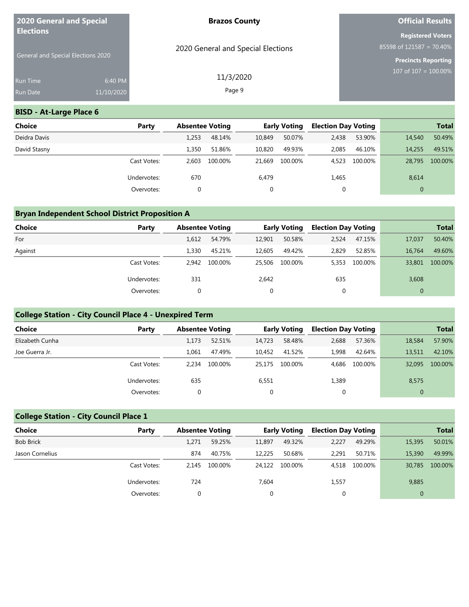| 2020 General and Special<br><b>Elections</b> |            | <b>Brazos County</b>               | <b>Official Results</b>                                 |
|----------------------------------------------|------------|------------------------------------|---------------------------------------------------------|
|                                              |            | 2020 General and Special Elections | <b>Registered Voters</b><br>85598 of $121587 = 70.40\%$ |
| <b>General and Special Elections 2020</b>    |            |                                    | Precincts Reporting                                     |
| <b>Run Time</b>                              | 6:40 PM    | 11/3/2020                          | 107 of $107 = 100.00\%$                                 |
| <b>Run Date</b>                              | 11/10/2020 | Page 9                             |                                                         |

### **BISD - At-Large Place 6**

| <b>Choice</b> | Party       | <b>Absentee Voting</b> |         |        | <b>Early Voting</b> | <b>Election Day Voting</b> |         |              | <b>Total</b> |
|---------------|-------------|------------------------|---------|--------|---------------------|----------------------------|---------|--------------|--------------|
| Deidra Davis  |             | 1,253                  | 48.14%  | 10,849 | 50.07%              | 2,438                      | 53.90%  | 14,540       | 50.49%       |
| David Stasny  |             | 1,350                  | 51.86%  | 10,820 | 49.93%              | 2,085                      | 46.10%  | 14,255       | 49.51%       |
|               | Cast Votes: | 2.603                  | 100.00% | 21.669 | 100.00%             | 4,523                      | 100.00% | 28,795       | 100.00%      |
|               | Undervotes: | 670                    |         | 6,479  |                     | 1,465                      |         | 8,614        |              |
|               | Overvotes:  | 0                      |         |        |                     | 0                          |         | $\mathbf{0}$ |              |

### **Bryan Independent School District Proposition A**

| <b>Choice</b> | Party       | <b>Absentee Voting</b> |         |             | <b>Early Voting</b> | <b>Election Day Voting</b> |         |              | <b>Total</b> |
|---------------|-------------|------------------------|---------|-------------|---------------------|----------------------------|---------|--------------|--------------|
| For           |             | 1,612                  | 54.79%  | 12,901      | 50.58%              | 2,524                      | 47.15%  | 17,037       | 50.40%       |
| Against       |             | 1,330                  | 45.21%  | 12,605      | 49.42%              | 2,829                      | 52.85%  | 16.764       | 49.60%       |
|               | Cast Votes: | 2.942                  | 100.00% | 25,506      | 100.00%             | 5,353                      | 100.00% | 33,801       | 100.00%      |
|               | Undervotes: | 331                    |         | 2,642       |                     | 635                        |         | 3,608        |              |
|               | Overvotes:  |                        |         | $\mathbf 0$ |                     | 0                          |         | $\mathbf{0}$ |              |

# **College Station - City Council Place 4 - Unexpired Term**

| <b>Choice</b>   | Party       | <b>Absentee Voting</b> |         |             | <b>Early Voting</b> | <b>Election Day Voting</b> |         |              | <b>Total</b> |
|-----------------|-------------|------------------------|---------|-------------|---------------------|----------------------------|---------|--------------|--------------|
| Elizabeth Cunha |             | 1.173                  | 52.51%  | 14.723      | 58.48%              | 2,688                      | 57.36%  | 18,584       | 57.90%       |
| Joe Guerra Jr.  |             | 1.061                  | 47.49%  | 10.452      | 41.52%              | 1.998                      | 42.64%  | 13,511       | 42.10%       |
|                 | Cast Votes: | 2.234                  | 100.00% | 25.175      | 100.00%             | 4.686                      | 100.00% | 32,095       | 100.00%      |
|                 | Undervotes: | 635                    |         | 6,551       |                     | 1,389                      |         | 8,575        |              |
|                 | Overvotes:  |                        |         | $\mathbf 0$ |                     | υ                          |         | $\mathbf{0}$ |              |

### **College Station - City Council Place 1**

| <b>Choice</b>    | Party       | <b>Absentee Voting</b> |         |        | <b>Early Voting</b> | <b>Election Day Voting</b> |         |              | <b>Total</b> |
|------------------|-------------|------------------------|---------|--------|---------------------|----------------------------|---------|--------------|--------------|
| <b>Bob Brick</b> |             | 1.271                  | 59.25%  | 11.897 | 49.32%              | 2,227                      | 49.29%  | 15,395       | 50.01%       |
| Jason Cornelius  |             | 874                    | 40.75%  | 12.225 | 50.68%              | 2,291                      | 50.71%  | 15,390       | 49.99%       |
|                  | Cast Votes: | 2.145                  | 100.00% | 24.122 | 100.00%             | 4,518                      | 100.00% | 30,785       | 100.00%      |
|                  | Undervotes: | 724                    |         | 7,604  |                     | 1,557                      |         | 9,885        |              |
|                  | Overvotes:  |                        |         | 0      |                     | 0                          |         | $\mathbf{0}$ |              |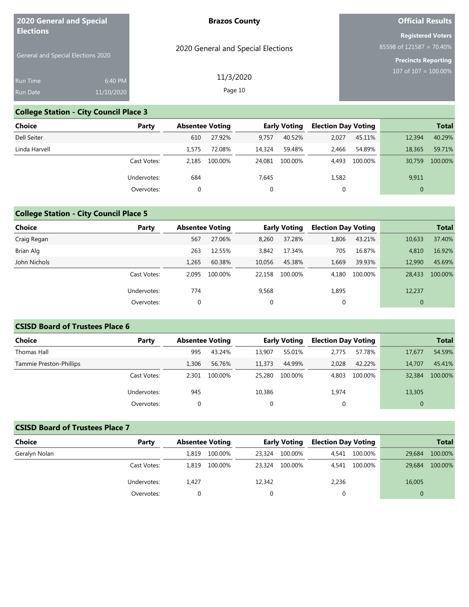| 2020 General and Special<br><b>Elections</b> |            | <b>Brazos County</b>               | <b>Official Results</b>                                 |
|----------------------------------------------|------------|------------------------------------|---------------------------------------------------------|
|                                              |            | 2020 General and Special Elections | <b>Registered Voters</b><br>85598 of $121587 = 70.40\%$ |
| <b>General and Special Elections 2020</b>    |            |                                    | Precincts Reporting<br>107 of $107 = 100.00\%$          |
| <b>Run Time</b>                              | 6:40 PM    | 11/3/2020                          |                                                         |
| <b>Run Date</b>                              | 11/10/2020 | Page 10                            |                                                         |

### **College Station - City Council Place 3**

| Choice        | Party       | <b>Absentee Voting</b> |         |        | <b>Early Voting</b> | <b>Election Day Voting</b> |         |              | <b>Total</b> |
|---------------|-------------|------------------------|---------|--------|---------------------|----------------------------|---------|--------------|--------------|
| Dell Seiter   |             | 610                    | 27.92%  | 9.757  | 40.52%              | 2,027                      | 45.11%  | 12,394       | 40.29%       |
| Linda Harvell |             | 1.575                  | 72.08%  | 14,324 | 59.48%              | 2,466                      | 54.89%  | 18,365       | 59.71%       |
|               | Cast Votes: | 2.185                  | 100.00% | 24,081 | 100.00%             | 4.493                      | 100.00% | 30,759       | 100.00%      |
|               | Undervotes: | 684                    |         | 7,645  |                     | 1,582                      |         | 9,911        |              |
|               | Overvotes:  | 0                      |         |        |                     | 0                          |         | $\mathbf{0}$ |              |

# **College Station - City Council Place 5**

| Choice       | Party       | <b>Absentee Voting</b> |         |             | <b>Early Voting</b> | <b>Election Day Voting</b> |         |                | <b>Total</b> |
|--------------|-------------|------------------------|---------|-------------|---------------------|----------------------------|---------|----------------|--------------|
| Craig Regan  |             | 567                    | 27.06%  | 8,260       | 37.28%              | 1,806                      | 43.21%  | 10,633         | 37.40%       |
| Brian Alg    |             | 263                    | 12.55%  | 3,842       | 17.34%              | 705                        | 16.87%  | 4,810          | 16.92%       |
| John Nichols |             | 1,265                  | 60.38%  | 10,056      | 45.38%              | 1,669                      | 39.93%  | 12,990         | 45.69%       |
|              | Cast Votes: | 2.095                  | 100.00% | 22.158      | 100.00%             | 4.180                      | 100.00% | 28,433         | 100.00%      |
|              | Undervotes: | 774                    |         | 9,568       |                     | 1,895                      |         | 12,237         |              |
|              | Overvotes:  | 0                      |         | $\mathbf 0$ |                     | 0                          |         | $\overline{0}$ |              |

### **CSISD Board of Trustees Place 6**

| <b>Choice</b>           | Party       | <b>Absentee Voting</b> |         |        | <b>Early Voting</b> | <b>Election Day Voting</b> |         |          | <b>Total</b> |
|-------------------------|-------------|------------------------|---------|--------|---------------------|----------------------------|---------|----------|--------------|
| Thomas Hall             |             | 995                    | 43.24%  | 13,907 | 55.01%              | 2,775                      | 57.78%  | 17,677   | 54.59%       |
| Tammie Preston-Phillips |             | 1.306                  | 56.76%  | 11,373 | 44.99%              | 2.028                      | 42.22%  | 14,707   | 45.41%       |
|                         | Cast Votes: | 2.301                  | 100.00% | 25,280 | 100.00%             | 4.803                      | 100.00% | 32,384   | 100.00%      |
|                         | Undervotes: | 945                    |         | 10,386 |                     | 1,974                      |         | 13,305   |              |
|                         | Overvotes:  | 0                      |         |        |                     |                            |         | $\Omega$ |              |

### **CSISD Board of Trustees Place 7**

| <b>Choice</b> | Party       | <b>Absentee Voting</b> |         |        | <b>Early Voting</b> | <b>Election Day Voting</b> |               |          | <b>Total</b> |
|---------------|-------------|------------------------|---------|--------|---------------------|----------------------------|---------------|----------|--------------|
| Geralyn Nolan |             | 1,819                  | 100.00% | 23,324 | 100.00%             |                            | 4.541 100.00% | 29.684   | 100.00%      |
|               | Cast Votes: | 1.819                  | 100.00% | 23,324 | 100.00%             |                            | 4.541 100.00% | 29,684   | 100.00%      |
|               | Undervotes: | 1,427                  |         | 12,342 |                     | 2,236                      |               | 16,005   |              |
|               | Overvotes:  |                        |         |        |                     | 0                          |               | $\Omega$ |              |